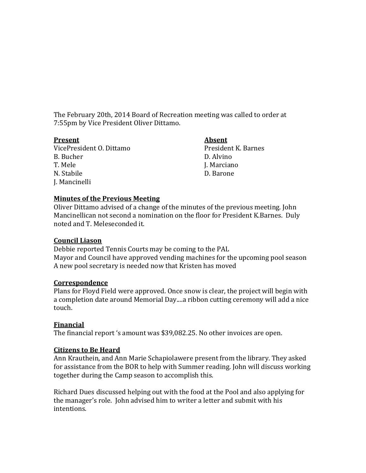The February 20th, 2014 Board of Recreation meeting was called to order at 7:55pm by Vice President Oliver Dittamo.

### **Present Absent**

VicePresident O. Dittamo<br>
B. Bucher<br>
D. Alvino B. Bucher D. Alvino T. Mele J. Marciano N. Stabile D. Barone J. Mancinelli

## **Minutes of the Previous Meeting**

Oliver Dittamo advised of a change of the minutes of the previous meeting. John Mancinellican not second a nomination on the floor for President K.Barnes. Duly noted and T. Meleseconded it.

## **Council Liason**

Debbie reported Tennis Courts may be coming to the PAL Mayor and Council have approved vending machines for the upcoming pool season A new pool secretary is needed now that Kristen has moved

## **Correspondence**

Plans for Floyd Field were approved. Once snow is clear, the project will begin with a completion date around Memorial Day....a ribbon cutting ceremony will add a nice touch.

# **Financial**

The financial report 's amount was \$39,082.25. No other invoices are open.

## **Citizens to Be Heard**

Ann Krauthein, and Ann Marie Schapiolawere present from the library. They asked for assistance from the BOR to help with Summer reading. John will discuss working together during the Camp season to accomplish this.

Richard Dues discussed helping out with the food at the Pool and also applying for the manager's role. John advised him to writer a letter and submit with his intentions.